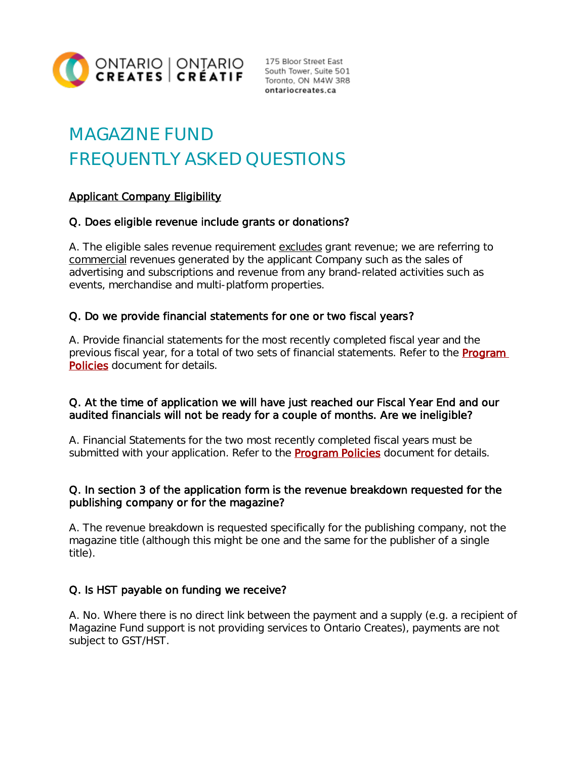

Toronto, ON M4W 3R8 ontariocreates.ca

# MAGAZINE FUND FREQUENTLY ASKED QUESTIONS

# Applicant Company Eligibility

# Q. Does eligible revenue include grants or donations?

A. The eligible sales revenue requirement excludes grant revenue; we are referring to commercial revenues generated by the applicant Company such as the sales of advertising and subscriptions and revenue from any brand-related activities such as events, merchandise and multi-platform properties.

# Q. Do we provide financial statements for one or two fiscal years?

A. Provide financial statements for the most recently completed fiscal year and the previous fiscal year, for a total of two sets of financial statements. Refer to the **Program** [Policies](https://ontariocreates.ca/uploads/Industry_Initiatives/ENG/OC-Program-Policies_FINAL.pdf) document for details.

## Q. At the time of application we will have just reached our Fiscal Year End and our audited financials will not be ready for a couple of months. Are we ineligible?

A. Financial Statements for the two most recently completed fiscal years must be submitted with your application. Refer to the **Program Policies** document for details.

## Q. In section 3 of the application form is the revenue breakdown requested for the publishing company or for the magazine?

A. The revenue breakdown is requested specifically for the publishing company, not the magazine title (although this might be one and the same for the publisher of a single title).

# Q. Is HST payable on funding we receive?

A. No. Where there is no direct link between the payment and a supply (e.g. a recipient of Magazine Fund support is not providing services to Ontario Creates), payments are not subject to GST/HST.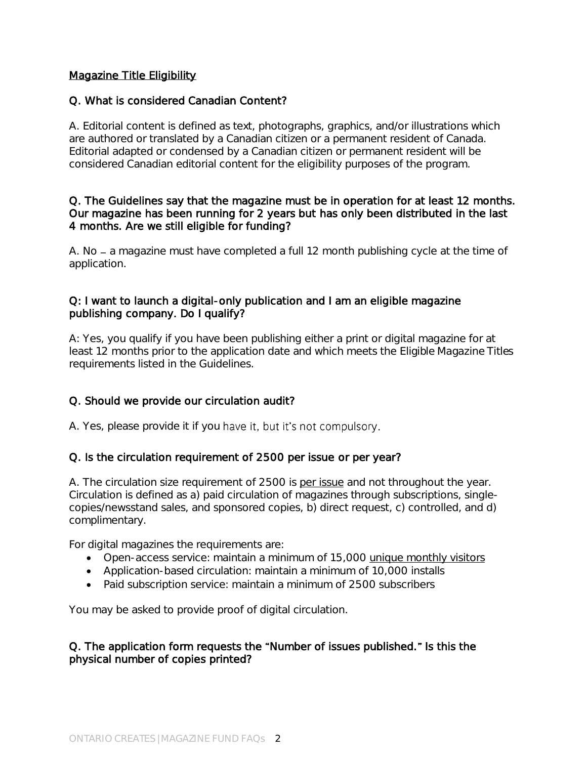## Magazine Title Eligibility

## Q. What is considered Canadian Content?

A. Editorial content is defined as text, photographs, graphics, and/or illustrations which are authored or translated by a Canadian citizen or a permanent resident of Canada. Editorial adapted or condensed by a Canadian citizen or permanent resident will be considered Canadian editorial content for the eligibility purposes of the program.

#### Q. The Guidelines say that the magazine must be in operation for at least 12 months. Our magazine has been running for 2 years but has only been distributed in the last 4 months. Are we still eligible for funding?

A. No – a magazine must have completed a full 12 month publishing cycle at the time of application.

## Q: I want to launch a digital-only publication and I am an eligible magazine publishing company. Do I qualify?

A: Yes, you qualify if you have been publishing either a print or digital magazine for at least 12 months prior to the application date and which meets the *Eligible Magazine Titles* requirements listed in the Guidelines.

# Q. Should we provide our circulation audit?

A. Yes, please provide it if you have it, but it's not compulsory.

# Q. Is the circulation requirement of 2500 per issue or per year?

A. The circulation size requirement of 2500 is per issue and not throughout the year. Circulation is defined as a) paid circulation of magazines through subscriptions, singlecopies/newsstand sales, and sponsored copies, b) direct request, c) controlled, and d) complimentary.

For digital magazines the requirements are:

- Open-access service: maintain a minimum of 15,000 [unique monthly visitors](http://www.pch.gc.ca/eng/1304010207556/1268242986664#umv)
- Application-based circulation: maintain a minimum of 10,000 installs
- Paid subscription service: maintain a minimum of 2500 subscribers

You may be asked to provide proof of digital circulation.

## Q. The application form requests the "Number of issues published." Is this the physical number of copies printed?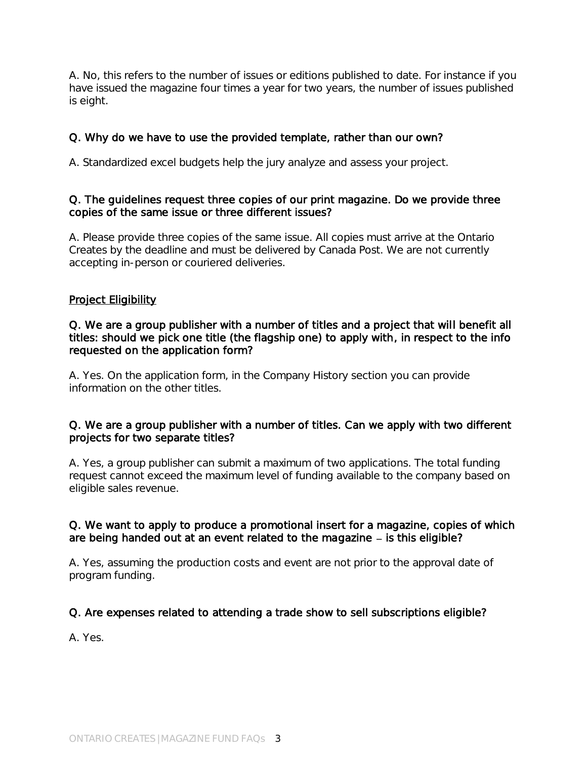A. No, this refers to the number of issues or editions published to date. For instance if you have issued the magazine four times a year for two years, the number of issues published is eight.

## Q. Why do we have to use the provided template, rather than our own?

A. Standardized excel budgets help the jury analyze and assess your project.

## Q. The guidelines request three copies of our print magazine. Do we provide three copies of the same issue or three different issues?

A. Please provide three copies of the same issue. All copies must arrive at the Ontario Creates by the deadline and must be delivered by Canada Post. We are not currently accepting in-person or couriered deliveries.

## Project Eligibility

#### Q. We are a group publisher with a number of titles and a project that will benefit all titles: should we pick one title (the flagship one) to apply with, in respect to the info requested on the application form?

A. Yes. On the application form, in the Company History section you can provide information on the other titles.

#### Q. We are a group publisher with a number of titles. Can we apply with two different projects for two separate titles?

A. Yes, a group publisher can submit a maximum of two applications. The total funding request cannot exceed the maximum level of funding available to the company based on eligible sales revenue.

## Q. We want to apply to produce a promotional insert for a magazine, copies of which are being handed out at an event related to the magazine  $-$  is this eligible?

A. Yes, assuming the production costs and event are not prior to the approval date of program funding.

## Q. Are expenses related to attending a trade show to sell subscriptions eligible?

A. Yes.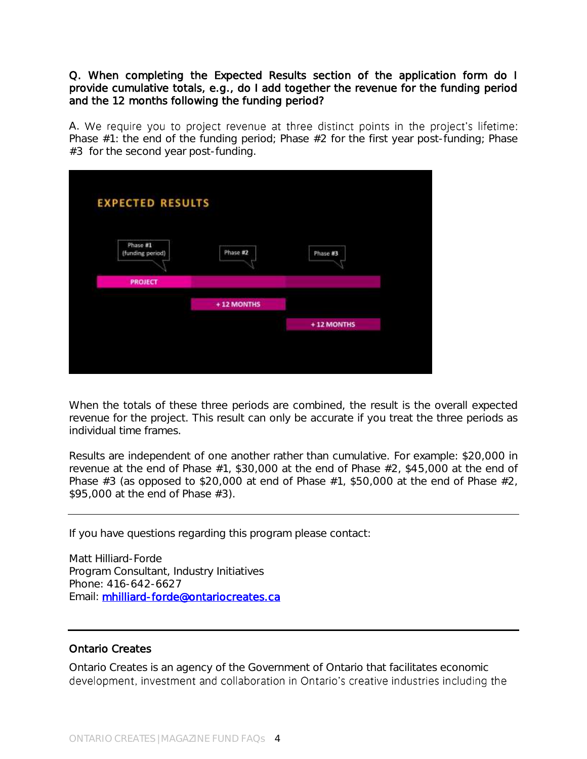Q. When completing the Expected Results section of the application form do I provide cumulative totals, e.g., do I add together the revenue for the funding period and the 12 months following the funding period?

A. We require you to project revenue at three distinct points in the project's lifetime: Phase #1: the end of the funding period; Phase #2 for the first year post-funding; Phase #3 for the second year post-funding.

| <b>EXPECTED RESULTS</b>      |            |            |  |
|------------------------------|------------|------------|--|
|                              |            |            |  |
|                              |            |            |  |
| Phase #1<br>(funding period) | Phase #2   | Phase #3   |  |
|                              |            |            |  |
| <b>PROJECT</b>               |            |            |  |
|                              |            |            |  |
|                              | +12 MONTHS |            |  |
|                              |            | +12 MONTHS |  |
|                              |            |            |  |
|                              |            |            |  |
|                              |            |            |  |

When the totals of these three periods are combined, the result is the overall expected revenue for the project. This result can only be accurate if you treat the three periods as individual time frames.

Results are independent of one another rather than cumulative. For example: \$20,000 in revenue at the end of Phase #1, \$30,000 at the end of Phase #2, \$45,000 at the end of Phase  $#3$  (as opposed to \$20,000 at end of Phase  $#1$ , \$50,000 at the end of Phase  $#2$ , \$95,000 at the end of Phase #3).

If you have questions regarding this program please contact:

Matt Hilliard-Forde Program Consultant, Industry Initiatives Phone: 416-642-6627 Email: [mhilliard-forde@ontariocreates.ca](mailto:mhilliard-forde@ontariocreates.ca) 

#### Ontario Creates

Ontario Creates is an agency of the Government of Ontario that facilitates economic